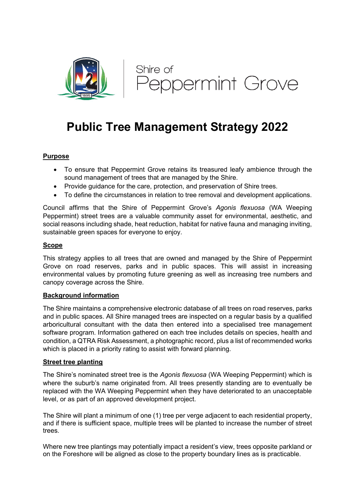

# **Public Tree Management Strategy 2022**

# **Purpose**

- To ensure that Peppermint Grove retains its treasured leafy ambience through the sound management of trees that are managed by the Shire.
- Provide guidance for the care, protection, and preservation of Shire trees.
- To define the circumstances in relation to tree removal and development applications.

Council affirms that the Shire of Peppermint Grove's *Agonis flexuosa* (WA Weeping Peppermint) street trees are a valuable community asset for environmental, aesthetic, and social reasons including shade, heat reduction, habitat for native fauna and managing inviting, sustainable green spaces for everyone to enjoy.

# **Scope**

This strategy applies to all trees that are owned and managed by the Shire of Peppermint Grove on road reserves, parks and in public spaces. This will assist in increasing environmental values by promoting future greening as well as increasing tree numbers and canopy coverage across the Shire.

#### **Background information**

The Shire maintains a comprehensive electronic database of all trees on road reserves, parks and in public spaces. All Shire managed trees are inspected on a regular basis by a qualified arboricultural consultant with the data then entered into a specialised tree management software program. Information gathered on each tree includes details on species, health and condition, a QTRA Risk Assessment, a photographic record, plus a list of recommended works which is placed in a priority rating to assist with forward planning.

#### **Street tree planting**

The Shire's nominated street tree is the *Agonis flexuosa* (WA Weeping Peppermint) which is where the suburb's name originated from. All trees presently standing are to eventually be replaced with the WA Weeping Peppermint when they have deteriorated to an unacceptable level, or as part of an approved development project.

The Shire will plant a minimum of one (1) tree per verge adjacent to each residential property, and if there is sufficient space, multiple trees will be planted to increase the number of street trees.

Where new tree plantings may potentially impact a resident's view, trees opposite parkland or on the Foreshore will be aligned as close to the property boundary lines as is practicable.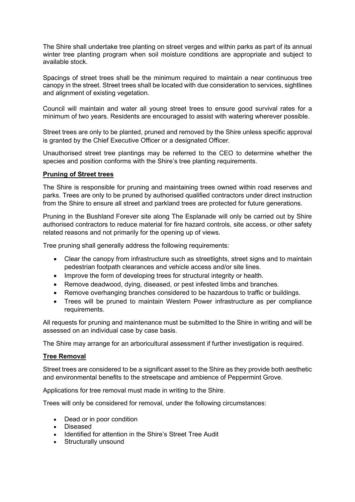The Shire shall undertake tree planting on street verges and within parks as part of its annual winter tree planting program when soil moisture conditions are appropriate and subject to available stock.

Spacings of street trees shall be the minimum required to maintain a near continuous tree canopy in the street. Street trees shall be located with due consideration to services, sightlines and alignment of existing vegetation.

Council will maintain and water all young street trees to ensure good survival rates for a minimum of two years. Residents are encouraged to assist with watering wherever possible.

Street trees are only to be planted, pruned and removed by the Shire unless specific approval is granted by the Chief Executive Officer or a designated Officer.

Unauthorised street tree plantings may be referred to the CEO to determine whether the species and position conforms with the Shire's tree planting requirements.

# **Pruning of Street trees**

The Shire is responsible for pruning and maintaining trees owned within road reserves and parks. Trees are only to be pruned by authorised qualified contractors under direct instruction from the Shire to ensure all street and parkland trees are protected for future generations.

Pruning in the Bushland Forever site along The Esplanade will only be carried out by Shire authorised contractors to reduce material for fire hazard controls, site access, or other safety related reasons and not primarily for the opening up of views.

Tree pruning shall generally address the following requirements:

- Clear the canopy from infrastructure such as streetlights, street signs and to maintain pedestrian footpath clearances and vehicle access and/or site lines.
- Improve the form of developing trees for structural integrity or health.
- Remove deadwood, dying, diseased, or pest infested limbs and branches.
- Remove overhanging branches considered to be hazardous to traffic or buildings.
- Trees will be pruned to maintain Western Power infrastructure as per compliance requirements.

All requests for pruning and maintenance must be submitted to the Shire in writing and will be assessed on an individual case by case basis.

The Shire may arrange for an arboricultural assessment if further investigation is required.

#### **Tree Removal**

Street trees are considered to be a significant asset to the Shire as they provide both aesthetic and environmental benefits to the streetscape and ambience of Peppermint Grove.

Applications for tree removal must made in writing to the Shire.

Trees will only be considered for removal, under the following circumstances:

- Dead or in poor condition
- Diseased
- Identified for attention in the Shire's Street Tree Audit
- Structurally unsound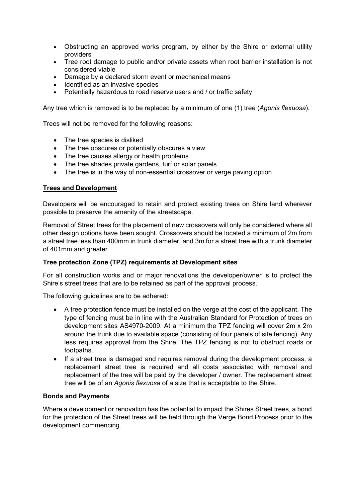- Obstructing an approved works program, by either by the Shire or external utility providers
- Tree root damage to public and/or private assets when root barrier installation is not considered viable
- Damage by a declared storm event or mechanical means
- Identified as an invasive species
- Potentially hazardous to road reserve users and / or traffic safety

Any tree which is removed is to be replaced by a minimum of one (1) tree (*Agonis flexuosa*).

Trees will not be removed for the following reasons:

- The tree species is disliked
- The tree obscures or potentially obscures a view
- The tree causes allergy or health problems
- The tree shades private gardens, turf or solar panels
- The tree is in the way of non-essential crossover or verge paving option

# **Trees and Development**

Developers will be encouraged to retain and protect existing trees on Shire land wherever possible to preserve the amenity of the streetscape.

Removal of Street trees for the placement of new crossovers will only be considered where all other design options have been sought. Crossovers should be located a minimum of 2m from a street tree less than 400mm in trunk diameter, and 3m for a street tree with a trunk diameter of 401mm and greater.

# **Tree protection Zone (TPZ) requirements at Development sites**

For all construction works and or major renovations the developer/owner is to protect the Shire's street trees that are to be retained as part of the approval process.

The following guidelines are to be adhered:

- A tree protection fence must be installed on the verge at the cost of the applicant. The type of fencing must be in line with the Australian Standard for Protection of trees on development sites AS4970-2009. At a minimum the TPZ fencing will cover 2m x 2m around the trunk due to available space (consisting of four panels of site fencing). Any less requires approval from the Shire. The TPZ fencing is not to obstruct roads or footpaths.
- If a street tree is damaged and requires removal during the development process, a replacement street tree is required and all costs associated with removal and replacement of the tree will be paid by the developer / owner. The replacement street tree will be of an *Agonis flexuosa* of a size that is acceptable to the Shire.

# **Bonds and Payments**

Where a development or renovation has the potential to impact the Shires Street trees, a bond for the protection of the Street trees will be held through the Verge Bond Process prior to the development commencing.